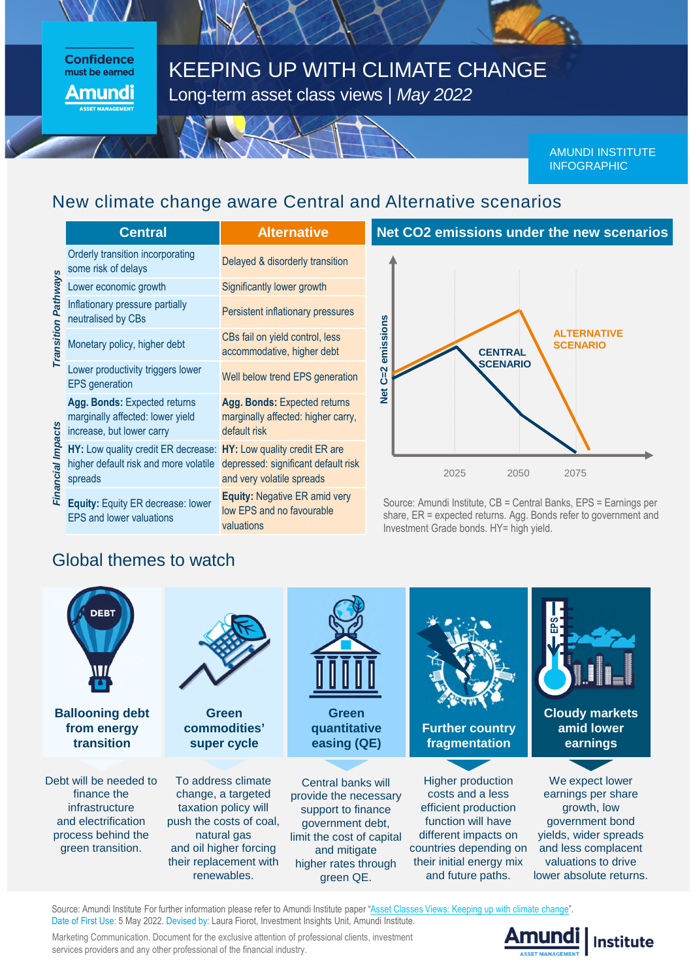#### **Confidence** must be earned **mundi**

# KEEPING UP WITH CLIMATE CHANGE Long-term asset class views | *May 2022*

AMUNDI INSTITUTE INFOGRAPHIC

## New climate change aware Central and Alternative scenarios

|                     | <b>Central</b>                                                                                | <b>Alternative</b>                                                                                |
|---------------------|-----------------------------------------------------------------------------------------------|---------------------------------------------------------------------------------------------------|
| Transition Pathways | Orderly transition incorporating<br>some risk of delays                                       | Delayed & disorderly transition                                                                   |
|                     | Lower economic growth                                                                         | Significantly lower growth                                                                        |
|                     | Inflationary pressure partially<br>neutralised by CBs                                         | Persistent inflationary pressures                                                                 |
|                     | Monetary policy, higher debt                                                                  | CBs fail on yield control, less<br>accommodative, higher debt                                     |
|                     | Lower productivity triggers lower<br><b>EPS</b> generation                                    | Well below trend EPS generation                                                                   |
| Financial Impacts   | Agg. Bonds: Expected returns<br>marginally affected: lower yield<br>increase, but lower carry | Agg. Bonds: Expected returns<br>marginally affected: higher carry,<br>default risk                |
|                     | HY: Low quality credit ER decrease:<br>higher default risk and more volatile<br>spreads       | HY: Low quality credit ER are<br>depressed: significant default risk<br>and very volatile spreads |
|                     | Equity: Equity ER decrease: lower<br><b>EPS and lower valuations</b>                          | <b>Equity: Negative ER amid very</b><br>low EPS and no favourable<br>valuations                   |



Source: Amundi Institute, CB = Central Banks, EPS = Earnings per share, ER = expected returns. Agg. Bonds refer to government and Investment Grade bonds. HY= high yield.

### Global themes to watch



Source: Amundi Institute For further information please refer to Amundi Institute paper ["Asset Classes Views: Keeping up with climate change"](https://research-center.amundi.com/article/asset-classes-views-keeping-climate-change). Date of First Use: 5 May 2022. Devised by: Laura Fiorot, Investment Insights Unit, Amundi Institute.

Marketing Communication. Document for the exclusive attention of professional clients, investment services providers and any other professional of the financial industry.

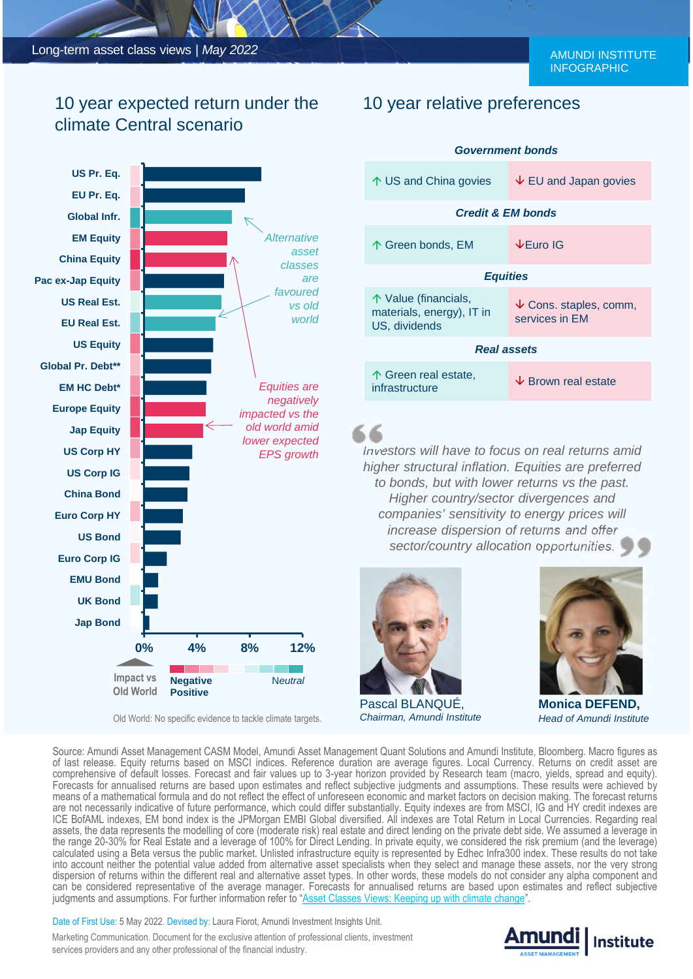## 10 year expected return under the climate Central scenario



Old World: No specific evidence to tackle climate targets.

#### 10 year relative preferences

| <b>Government bonds</b>                                            |                                               |  |
|--------------------------------------------------------------------|-----------------------------------------------|--|
| ↑ US and China govies                                              | $\vee$ EU and Japan govies                    |  |
| <b>Credit &amp; EM bonds</b>                                       |                                               |  |
| 个 Green bonds, EM                                                  | <b>↓Euro IG</b>                               |  |
| <b>Equities</b>                                                    |                                               |  |
| 个 Value (financials,<br>materials, energy), IT in<br>US, dividends | $\vee$ Cons. staples, comm,<br>services in EM |  |
| <b>Real assets</b>                                                 |                                               |  |
| 个 Green real estate,<br>infrastructure                             | $\overline{\mathsf{V}}$ Brown real estate     |  |

*Investors will have to focus on real returns amid higher structural inflation. Equities are preferred to bonds, but with lower returns vs the past. Higher country/sector divergences and companies' sensitivity to energy prices will increase dispersion of returns and offer sector/country allocation opportunities.*



Pascal BLANQUÉ, *Chairman, Amundi Institute*



**Monica DEFEND,** *Head of Amundi Institute*

Source: Amundi Asset Management CASM Model, Amundi Asset Management Quant Solutions and Amundi Institute, Bloomberg. Macro figures as of last release. Equity returns based on MSCI indices. Reference duration are average figures. Local Currency. Returns on credit asset are comprehensive of default losses. Forecast and fair values up to 3-year horizon provided by Research team (macro, yields, spread and equity). Forecasts for annualised returns are based upon estimates and reflect subjective judgments and assumptions. These results were achieved by means of a mathematical formula and do not reflect the effect of unforeseen economic and market factors on decision making. The forecast returns are not necessarily indicative of future performance, which could differ substantially. Equity indexes are from MSCI, IG and HY credit indexes are ICE BofAML indexes, EM bond index is the JPMorgan EMBI Global diversified. All indexes are Total Return in Local Currencies. Regarding real assets, the data represents the modelling of core (moderate risk) real estate and direct lending on the private debt side. We assumed a leverage in the range 20-30% for Real Estate and a leverage of 100% for Direct Lending. In private equity, we considered the risk premium (and the leverage) calculated using a Beta versus the public market. Unlisted infrastructure equity is represented by Edhec Infra300 index. These results do not take into account neither the potential value added from alternative asset specialists when they select and manage these assets, nor the very strong dispersion of returns within the different real and alternative asset types. In other words, these models do not consider any alpha component and can be considered representative of the average manager. Forecasts for annualised returns are based upon estimates and reflect subjective judgments and assumptions. For further information referto ["Asset Classes Views: Keeping up with climate change](https://research-center.amundi.com/article/asset-classes-views-keeping-climate-change)".

Date of First Use: 5 May 2022. Devised by: Laura Fiorot, Amundi Investment Insights Unit.

Marketing Communication. Document for the exclusive attention of professional clients, investment services providers and any other professional of the financial industry.